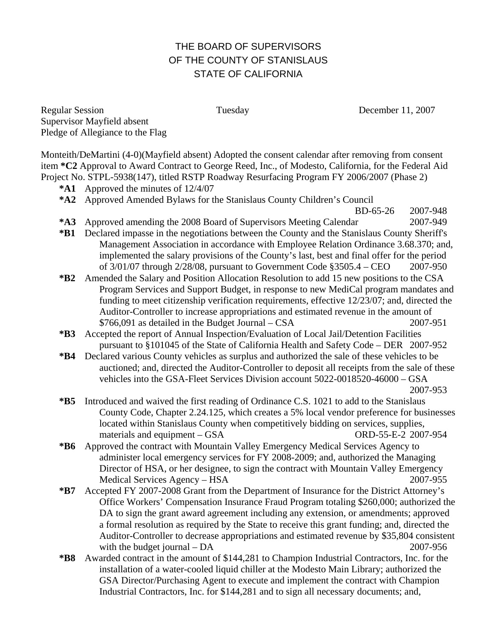## THE BOARD OF SUPERVISORS OF THE COUNTY OF STANISLAUS STATE OF CALIFORNIA

Regular Session Tuesday December 11, 2007 Supervisor Mayfield absent Pledge of Allegiance to the Flag

Monteith/DeMartini (4-0)(Mayfield absent) Adopted the consent calendar after removing from consent item **\*C2** Approval to Award Contract to George Reed, Inc., of Modesto, California, for the Federal Aid Project No. STPL-5938(147), titled RSTP Roadway Resurfacing Program FY 2006/2007 (Phase 2)

- **\*A1** Approved the minutes of 12/4/07
- **\*A2** Approved Amended Bylaws for the Stanislaus County Children's Council

BD-65-26 2007-948

- **\*A3** Approved amending the 2008 Board of Supervisors Meeting Calendar 2007-949
- **\*B1** Declared impasse in the negotiations between the County and the Stanislaus County Sheriff's Management Association in accordance with Employee Relation Ordinance 3.68.370; and, implemented the salary provisions of the County's last, best and final offer for the period of 3/01/07 through 2/28/08, pursuant to Government Code §3505.4 – CEO 2007-950
- **\*B2** Amended the Salary and Position Allocation Resolution to add 15 new positions to the CSA Program Services and Support Budget, in response to new MediCal program mandates and funding to meet citizenship verification requirements, effective 12/23/07; and, directed the Auditor-Controller to increase appropriations and estimated revenue in the amount of  $$766,091$  as detailed in the Budget Journal – CSA  $2007-951$
- **\*B3** Accepted the report of Annual Inspection/Evaluation of Local Jail/Detention Facilities pursuant to §101045 of the State of California Health and Safety Code – DER 2007-952
- **\*B4** Declared various County vehicles as surplus and authorized the sale of these vehicles to be auctioned; and, directed the Auditor-Controller to deposit all receipts from the sale of these vehicles into the GSA-Fleet Services Division account 5022-0018520-46000 – GSA 2007-953
	-
- **\*B5** Introduced and waived the first reading of Ordinance C.S. 1021 to add to the Stanislaus County Code, Chapter 2.24.125, which creates a 5% local vendor preference for businesses located within Stanislaus County when competitively bidding on services, supplies, materials and equipment – GSA ORD-55-E-2 2007-954
- **\*B6** Approved the contract with Mountain Valley Emergency Medical Services Agency to administer local emergency services for FY 2008-2009; and, authorized the Managing Director of HSA, or her designee, to sign the contract with Mountain Valley Emergency Medical Services Agency – HSA 2007-955
- **\*B7** Accepted FY 2007-2008 Grant from the Department of Insurance for the District Attorney's Office Workers' Compensation Insurance Fraud Program totaling \$260,000; authorized the DA to sign the grant award agreement including any extension, or amendments; approved a formal resolution as required by the State to receive this grant funding; and, directed the Auditor-Controller to decrease appropriations and estimated revenue by \$35,804 consistent with the budget journal – DA 2007-956
- **\*B8** Awarded contract in the amount of \$144,281 to Champion Industrial Contractors, Inc. for the installation of a water-cooled liquid chiller at the Modesto Main Library; authorized the GSA Director/Purchasing Agent to execute and implement the contract with Champion Industrial Contractors, Inc. for \$144,281 and to sign all necessary documents; and,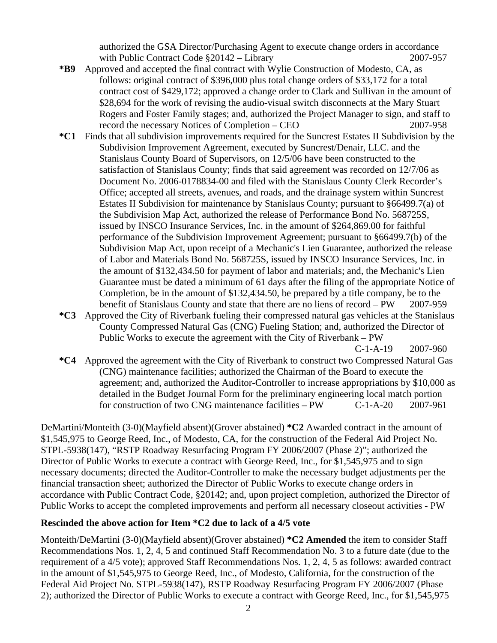authorized the GSA Director/Purchasing Agent to execute change orders in accordance with Public Contract Code  $\S 20142 - \text{Library}$  2007-957

- **\*B9** Approved and accepted the final contract with Wylie Construction of Modesto, CA, as follows: original contract of \$396,000 plus total change orders of \$33,172 for a total contract cost of \$429,172; approved a change order to Clark and Sullivan in the amount of \$28,694 for the work of revising the audio-visual switch disconnects at the Mary Stuart Rogers and Foster Family stages; and, authorized the Project Manager to sign, and staff to record the necessary Notices of Completion – CEO 2007-958
- **\*C1** Finds that all subdivision improvements required for the Suncrest Estates II Subdivision by the Subdivision Improvement Agreement, executed by Suncrest/Denair, LLC. and the Stanislaus County Board of Supervisors, on 12/5/06 have been constructed to the satisfaction of Stanislaus County; finds that said agreement was recorded on 12/7/06 as Document No. 2006-0178834-00 and filed with the Stanislaus County Clerk Recorder's Office; accepted all streets, avenues, and roads, and the drainage system within Suncrest Estates II Subdivision for maintenance by Stanislaus County; pursuant to §66499.7(a) of the Subdivision Map Act, authorized the release of Performance Bond No. 568725S, issued by INSCO Insurance Services, Inc. in the amount of \$264,869.00 for faithful performance of the Subdivision Improvement Agreement; pursuant to §66499.7(b) of the Subdivision Map Act, upon receipt of a Mechanic's Lien Guarantee, authorized the release of Labor and Materials Bond No. 568725S, issued by INSCO Insurance Services, Inc. in the amount of \$132,434.50 for payment of labor and materials; and, the Mechanic's Lien Guarantee must be dated a minimum of 61 days after the filing of the appropriate Notice of Completion, be in the amount of \$132,434.50, be prepared by a title company, be to the benefit of Stanislaus County and state that there are no liens of record – PW 2007-959
- **\*C3** Approved the City of Riverbank fueling their compressed natural gas vehicles at the Stanislaus County Compressed Natural Gas (CNG) Fueling Station; and, authorized the Director of Public Works to execute the agreement with the City of Riverbank – PW

C-1-A-19 2007-960

**\*C4** Approved the agreement with the City of Riverbank to construct two Compressed Natural Gas (CNG) maintenance facilities; authorized the Chairman of the Board to execute the agreement; and, authorized the Auditor-Controller to increase appropriations by \$10,000 as detailed in the Budget Journal Form for the preliminary engineering local match portion for construction of two CNG maintenance facilities – PW C-1-A-20 2007-961

DeMartini/Monteith (3-0)(Mayfield absent)(Grover abstained) **\*C2** Awarded contract in the amount of \$1,545,975 to George Reed, Inc., of Modesto, CA, for the construction of the Federal Aid Project No. STPL-5938(147), "RSTP Roadway Resurfacing Program FY 2006/2007 (Phase 2)"; authorized the Director of Public Works to execute a contract with George Reed, Inc., for \$1,545,975 and to sign necessary documents; directed the Auditor-Controller to make the necessary budget adjustments per the financial transaction sheet; authorized the Director of Public Works to execute change orders in accordance with Public Contract Code, §20142; and, upon project completion, authorized the Director of Public Works to accept the completed improvements and perform all necessary closeout activities - PW

## **Rescinded the above action for Item \*C2 due to lack of a 4/5 vote**

Monteith/DeMartini (3-0)(Mayfield absent)(Grover abstained) **\*C2 Amended** the item to consider Staff Recommendations Nos. 1, 2, 4, 5 and continued Staff Recommendation No. 3 to a future date (due to the requirement of a 4/5 vote); approved Staff Recommendations Nos. 1, 2, 4, 5 as follows: awarded contract in the amount of \$1,545,975 to George Reed, Inc., of Modesto, California, for the construction of the Federal Aid Project No. STPL-5938(147), RSTP Roadway Resurfacing Program FY 2006/2007 (Phase 2); authorized the Director of Public Works to execute a contract with George Reed, Inc., for \$1,545,975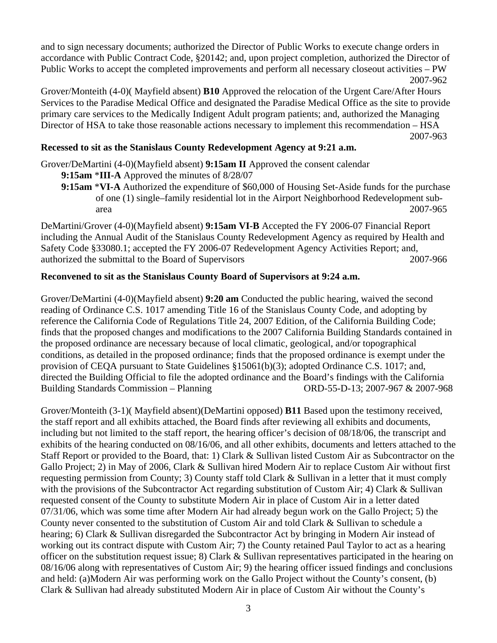and to sign necessary documents; authorized the Director of Public Works to execute change orders in accordance with Public Contract Code, §20142; and, upon project completion, authorized the Director of Public Works to accept the completed improvements and perform all necessary closeout activities – PW 2007-962

Grover/Monteith (4-0)( Mayfield absent) **B10** Approved the relocation of the Urgent Care/After Hours Services to the Paradise Medical Office and designated the Paradise Medical Office as the site to provide primary care services to the Medically Indigent Adult program patients; and, authorized the Managing Director of HSA to take those reasonable actions necessary to implement this recommendation – HSA 2007-963

## **Recessed to sit as the Stanislaus County Redevelopment Agency at 9:21 a.m.**

Grover/DeMartini (4-0)(Mayfield absent) **9:15am II** Approved the consent calendar

- **9:15am** \***III-A** Approved the minutes of 8/28/07
- **9:15am** \***VI-A** Authorized the expenditure of \$60,000 of Housing Set-Aside funds for the purchase of one (1) single–family residential lot in the Airport Neighborhood Redevelopment subarea 2007-965

DeMartini/Grover (4-0)(Mayfield absent) **9:15am VI-B** Accepted the FY 2006-07 Financial Report including the Annual Audit of the Stanislaus County Redevelopment Agency as required by Health and Safety Code §33080.1; accepted the FY 2006-07 Redevelopment Agency Activities Report; and, authorized the submittal to the Board of Supervisors 2007-966

## **Reconvened to sit as the Stanislaus County Board of Supervisors at 9:24 a.m.**

Grover/DeMartini (4-0)(Mayfield absent) **9:20 am** Conducted the public hearing, waived the second reading of Ordinance C.S. 1017 amending Title 16 of the Stanislaus County Code, and adopting by reference the California Code of Regulations Title 24, 2007 Edition, of the California Building Code; finds that the proposed changes and modifications to the 2007 California Building Standards contained in the proposed ordinance are necessary because of local climatic, geological, and/or topographical conditions, as detailed in the proposed ordinance; finds that the proposed ordinance is exempt under the provision of CEQA pursuant to State Guidelines §15061(b)(3); adopted Ordinance C.S. 1017; and, directed the Building Official to file the adopted ordinance and the Board's findings with the California Building Standards Commission – Planning ORD-55-D-13; 2007-967 & 2007-968

Grover/Monteith (3-1)( Mayfield absent)(DeMartini opposed) **B11** Based upon the testimony received, the staff report and all exhibits attached, the Board finds after reviewing all exhibits and documents, including but not limited to the staff report, the hearing officer's decision of 08/18/06, the transcript and exhibits of the hearing conducted on 08/16/06, and all other exhibits, documents and letters attached to the Staff Report or provided to the Board, that: 1) Clark & Sullivan listed Custom Air as Subcontractor on the Gallo Project; 2) in May of 2006, Clark & Sullivan hired Modern Air to replace Custom Air without first requesting permission from County; 3) County staff told Clark & Sullivan in a letter that it must comply with the provisions of the Subcontractor Act regarding substitution of Custom Air; 4) Clark & Sullivan requested consent of the County to substitute Modern Air in place of Custom Air in a letter dated 07/31/06, which was some time after Modern Air had already begun work on the Gallo Project; 5) the County never consented to the substitution of Custom Air and told Clark & Sullivan to schedule a hearing; 6) Clark & Sullivan disregarded the Subcontractor Act by bringing in Modern Air instead of working out its contract dispute with Custom Air; 7) the County retained Paul Taylor to act as a hearing officer on the substitution request issue; 8) Clark & Sullivan representatives participated in the hearing on 08/16/06 along with representatives of Custom Air; 9) the hearing officer issued findings and conclusions and held: (a)Modern Air was performing work on the Gallo Project without the County's consent, (b) Clark & Sullivan had already substituted Modern Air in place of Custom Air without the County's